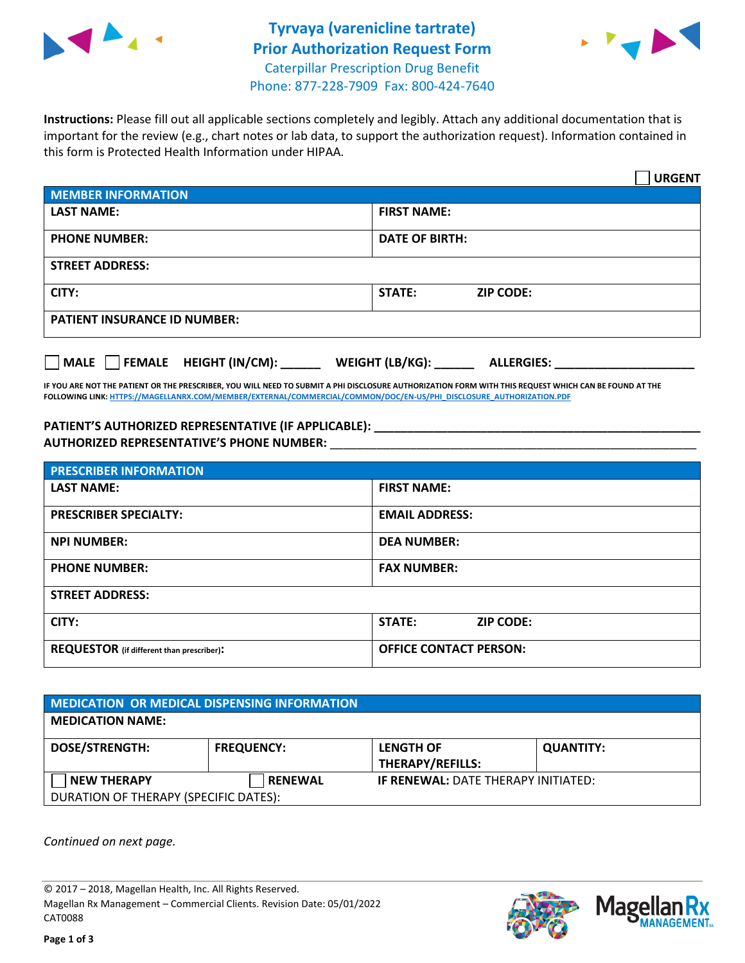



**Instructions:** Please fill out all applicable sections completely and legibly. Attach any additional documentation that is important for the review (e.g., chart notes or lab data, to support the authorization request). Information contained in this form is Protected Health Information under HIPAA.

|                                                 | <b>URGENT</b>                        |  |  |  |
|-------------------------------------------------|--------------------------------------|--|--|--|
| <b>MEMBER INFORMATION</b>                       |                                      |  |  |  |
| <b>LAST NAME:</b>                               | <b>FIRST NAME:</b>                   |  |  |  |
| <b>PHONE NUMBER:</b>                            | <b>DATE OF BIRTH:</b>                |  |  |  |
| <b>STREET ADDRESS:</b>                          |                                      |  |  |  |
| CITY:                                           | <b>ZIP CODE:</b><br>STATE:           |  |  |  |
| <b>PATIENT INSURANCE ID NUMBER:</b>             |                                      |  |  |  |
| $\Box$ FEMALE HEIGHT (IN/CM): _<br>$\vert$ MALE | WEIGHT (LB/KG):<br><b>ALLERGIES:</b> |  |  |  |

**IF YOU ARE NOT THE PATIENT OR THE PRESCRIBER, YOU WILL NEED TO SUBMIT A PHI DISCLOSURE AUTHORIZATION FORM WITH THIS REQUEST WHICH CAN BE FOUND AT THE FOLLOWING LINK[: HTTPS://MAGELLANRX.COM/MEMBER/EXTERNAL/COMMERCIAL/COMMON/DOC/EN-US/PHI\\_DISCLOSURE\\_AUTHORIZATION.PDF](https://magellanrx.com/member/external/commercial/common/doc/en-us/PHI_Disclosure_Authorization.pdf)**

**PATIENT'S AUTHORIZED REPRESENTATIVE (IF APPLICABLE): \_\_\_\_\_\_\_\_\_\_\_\_\_\_\_\_\_\_\_\_\_\_\_\_\_\_\_\_\_\_\_\_\_\_\_\_\_\_\_\_\_\_\_\_\_\_\_\_\_ AUTHORIZED REPRESENTATIVE'S PHONE NUMBER:** \_\_\_\_\_\_\_\_\_\_\_\_\_\_\_\_\_\_\_\_\_\_\_\_\_\_\_\_\_\_\_\_\_\_\_\_\_\_\_\_\_\_\_\_\_\_\_\_\_\_\_\_\_\_\_

| <b>PRESCRIBER INFORMATION</b>             |                               |  |  |  |
|-------------------------------------------|-------------------------------|--|--|--|
| <b>LAST NAME:</b>                         | <b>FIRST NAME:</b>            |  |  |  |
| <b>PRESCRIBER SPECIALTY:</b>              | <b>EMAIL ADDRESS:</b>         |  |  |  |
| <b>NPI NUMBER:</b>                        | <b>DEA NUMBER:</b>            |  |  |  |
| <b>PHONE NUMBER:</b>                      | <b>FAX NUMBER:</b>            |  |  |  |
| <b>STREET ADDRESS:</b>                    |                               |  |  |  |
| CITY:                                     | STATE:<br><b>ZIP CODE:</b>    |  |  |  |
| REQUESTOR (if different than prescriber): | <b>OFFICE CONTACT PERSON:</b> |  |  |  |

| MEDICATION OR MEDICAL DISPENSING INFORMATION |                   |                                            |                  |  |  |
|----------------------------------------------|-------------------|--------------------------------------------|------------------|--|--|
| <b>MEDICATION NAME:</b>                      |                   |                                            |                  |  |  |
| <b>DOSE/STRENGTH:</b>                        | <b>FREQUENCY:</b> | <b>LENGTH OF</b>                           | <b>QUANTITY:</b> |  |  |
|                                              |                   | <b>THERAPY/REFILLS:</b>                    |                  |  |  |
| <b>NEW THERAPY</b>                           | <b>RENEWAL</b>    | <b>IF RENEWAL: DATE THERAPY INITIATED:</b> |                  |  |  |
| DURATION OF THERAPY (SPECIFIC DATES):        |                   |                                            |                  |  |  |

*Continued on next page.*

© 2017 – 2018, Magellan Health, Inc. All Rights Reserved. Magellan Rx Management – Commercial Clients. Revision Date: 05/01/2022 CAT0088



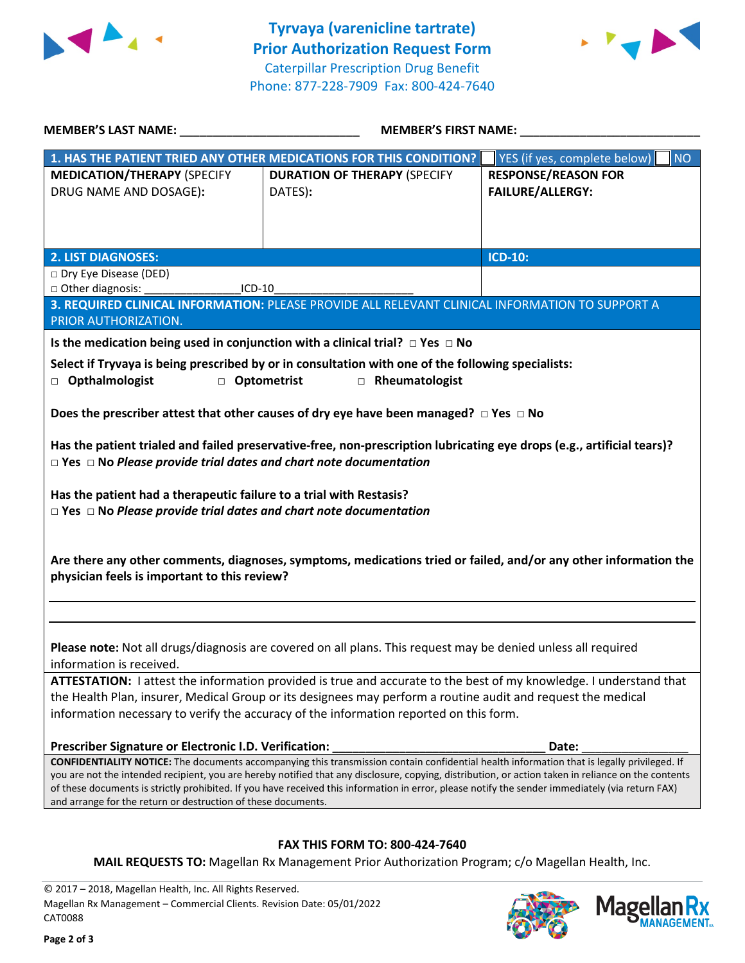



| <b>MEMBER'S LAST NAME:</b>                                                                                                                                                                             | <b>MEMBER'S FIRST NAME:</b>                                                                                                                                                                                                                                                                                                                                                                                                                            |                                                       |  |  |
|--------------------------------------------------------------------------------------------------------------------------------------------------------------------------------------------------------|--------------------------------------------------------------------------------------------------------------------------------------------------------------------------------------------------------------------------------------------------------------------------------------------------------------------------------------------------------------------------------------------------------------------------------------------------------|-------------------------------------------------------|--|--|
|                                                                                                                                                                                                        | 1. HAS THE PATIENT TRIED ANY OTHER MEDICATIONS FOR THIS CONDITION?                                                                                                                                                                                                                                                                                                                                                                                     | YES (if yes, complete below)<br><b>NO</b>             |  |  |
| <b>MEDICATION/THERAPY (SPECIFY</b><br>DRUG NAME AND DOSAGE):                                                                                                                                           | <b>DURATION OF THERAPY (SPECIFY</b><br>DATES):                                                                                                                                                                                                                                                                                                                                                                                                         | <b>RESPONSE/REASON FOR</b><br><b>FAILURE/ALLERGY:</b> |  |  |
| 2. LIST DIAGNOSES:                                                                                                                                                                                     |                                                                                                                                                                                                                                                                                                                                                                                                                                                        | <b>ICD-10:</b>                                        |  |  |
| Dry Eye Disease (DED)<br>□ Other diagnosis:<br>ICD-10                                                                                                                                                  |                                                                                                                                                                                                                                                                                                                                                                                                                                                        |                                                       |  |  |
| PRIOR AUTHORIZATION.                                                                                                                                                                                   | 3. REQUIRED CLINICAL INFORMATION: PLEASE PROVIDE ALL RELEVANT CLINICAL INFORMATION TO SUPPORT A                                                                                                                                                                                                                                                                                                                                                        |                                                       |  |  |
| Is the medication being used in conjunction with a clinical trial? $\Box$ Yes $\Box$ No<br><b>D</b> Opthalmologist<br><b>D</b> Optometrist                                                             | Select if Tryvaya is being prescribed by or in consultation with one of the following specialists:<br>Rheumatologist                                                                                                                                                                                                                                                                                                                                   |                                                       |  |  |
| Does the prescriber attest that other causes of dry eye have been managed? $\Box$ Yes $\Box$ No                                                                                                        |                                                                                                                                                                                                                                                                                                                                                                                                                                                        |                                                       |  |  |
| Has the patient trialed and failed preservative-free, non-prescription lubricating eye drops (e.g., artificial tears)?<br>$\Box$ Yes $\Box$ No Please provide trial dates and chart note documentation |                                                                                                                                                                                                                                                                                                                                                                                                                                                        |                                                       |  |  |
| Has the patient had a therapeutic failure to a trial with Restasis?<br>$\Box$ Yes $\Box$ No Please provide trial dates and chart note documentation                                                    |                                                                                                                                                                                                                                                                                                                                                                                                                                                        |                                                       |  |  |
| Are there any other comments, diagnoses, symptoms, medications tried or failed, and/or any other information the<br>physician feels is important to this review?                                       |                                                                                                                                                                                                                                                                                                                                                                                                                                                        |                                                       |  |  |
|                                                                                                                                                                                                        |                                                                                                                                                                                                                                                                                                                                                                                                                                                        |                                                       |  |  |
| information is received.                                                                                                                                                                               | Please note: Not all drugs/diagnosis are covered on all plans. This request may be denied unless all required                                                                                                                                                                                                                                                                                                                                          |                                                       |  |  |
|                                                                                                                                                                                                        | ATTESTATION: I attest the information provided is true and accurate to the best of my knowledge. I understand that<br>the Health Plan, insurer, Medical Group or its designees may perform a routine audit and request the medical<br>information necessary to verify the accuracy of the information reported on this form.                                                                                                                           |                                                       |  |  |
| Prescriber Signature or Electronic I.D. Verification:                                                                                                                                                  |                                                                                                                                                                                                                                                                                                                                                                                                                                                        | Date:                                                 |  |  |
| and arrange for the return or destruction of these documents.                                                                                                                                          | CONFIDENTIALITY NOTICE: The documents accompanying this transmission contain confidential health information that is legally privileged. If<br>you are not the intended recipient, you are hereby notified that any disclosure, copying, distribution, or action taken in reliance on the contents<br>of these documents is strictly prohibited. If you have received this information in error, please notify the sender immediately (via return FAX) |                                                       |  |  |
|                                                                                                                                                                                                        |                                                                                                                                                                                                                                                                                                                                                                                                                                                        |                                                       |  |  |
| <b>FAX THIS FORM TO: 800-424-7640</b>                                                                                                                                                                  |                                                                                                                                                                                                                                                                                                                                                                                                                                                        |                                                       |  |  |

**MAIL REQUESTS TO:** Magellan Rx Management Prior Authorization Program; c/o Magellan Health, Inc.

© 2017 – 2018, Magellan Health, Inc. All Rights Reserved. Magellan Rx Management – Commercial Clients. Revision Date: 05/01/2022 CAT0088